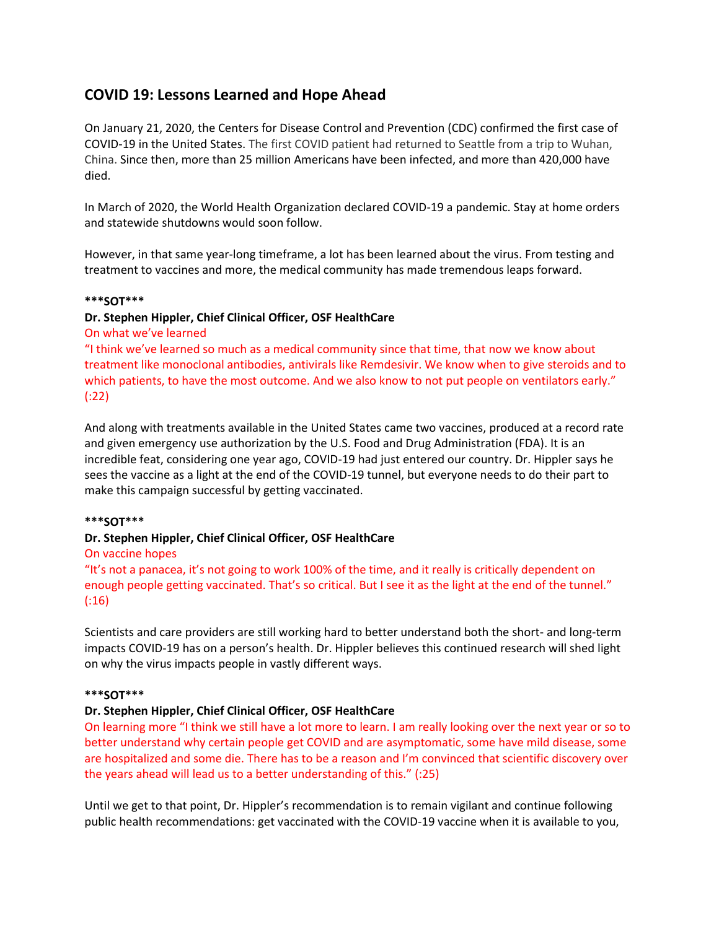# **COVID 19: Lessons Learned and Hope Ahead**

On January 21, 2020, the Centers for Disease Control and Prevention (CDC) confirmed the first case of COVID-19 in the United States. The first COVID patient had returned to Seattle from a trip to Wuhan, China. Since then, more than 25 million Americans have been infected, and more than 420,000 have died.

In March of 2020, the World Health Organization declared COVID-19 a pandemic. Stay at home orders and statewide shutdowns would soon follow.

However, in that same year-long timeframe, a lot has been learned about the virus. From testing and treatment to vaccines and more, the medical community has made tremendous leaps forward.

#### **\*\*\*SOT\*\*\***

## **Dr. Stephen Hippler, Chief Clinical Officer, OSF HealthCare**

On what we've learned

"I think we've learned so much as a medical community since that time, that now we know about treatment like monoclonal antibodies, antivirals like Remdesivir. We know when to give steroids and to which patients, to have the most outcome. And we also know to not put people on ventilators early." (:22)

And along with treatments available in the United States came two vaccines, produced at a record rate and given emergency use authorization by the U.S. Food and Drug Administration (FDA). It is an incredible feat, considering one year ago, COVID-19 had just entered our country. Dr. Hippler says he sees the vaccine as a light at the end of the COVID-19 tunnel, but everyone needs to do their part to make this campaign successful by getting vaccinated.

#### **\*\*\*SOT\*\*\***

#### **Dr. Stephen Hippler, Chief Clinical Officer, OSF HealthCare**

#### On vaccine hopes

"It's not a panacea, it's not going to work 100% of the time, and it really is critically dependent on enough people getting vaccinated. That's so critical. But I see it as the light at the end of the tunnel." (:16)

Scientists and care providers are still working hard to better understand both the short- and long-term impacts COVID-19 has on a person's health. Dr. Hippler believes this continued research will shed light on why the virus impacts people in vastly different ways.

#### **\*\*\*SOT\*\*\***

#### **Dr. Stephen Hippler, Chief Clinical Officer, OSF HealthCare**

On learning more "I think we still have a lot more to learn. I am really looking over the next year or so to better understand why certain people get COVID and are asymptomatic, some have mild disease, some are hospitalized and some die. There has to be a reason and I'm convinced that scientific discovery over the years ahead will lead us to a better understanding of this." (:25)

Until we get to that point, Dr. Hippler's recommendation is to remain vigilant and continue following public health recommendations: get vaccinated with the COVID-19 vaccine when it is available to you,